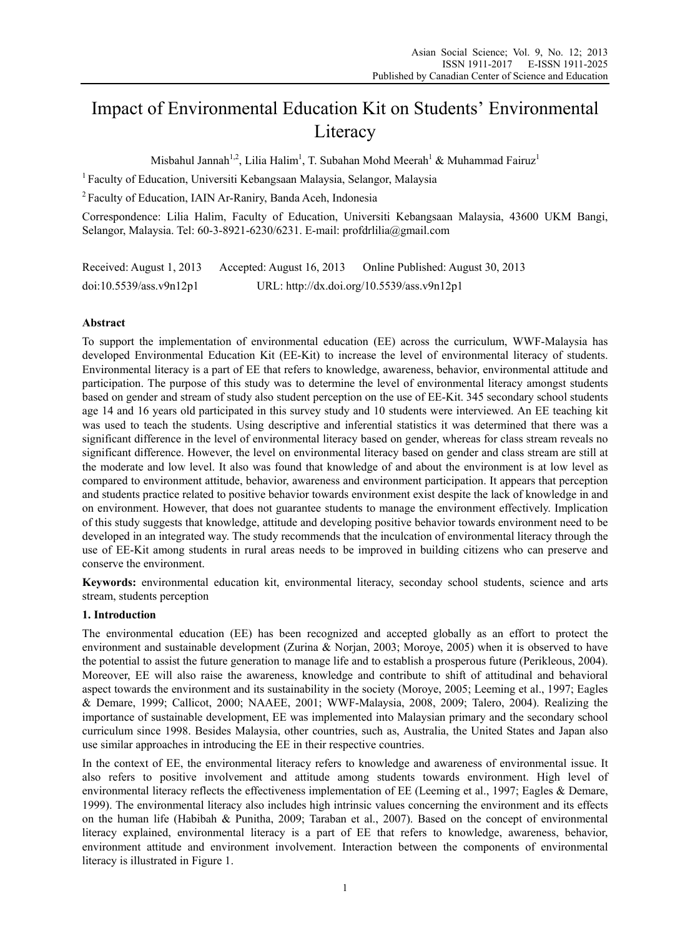# Impact of Environmental Education Kit on Students' Environmental Literacy

Misbahul Jannah<sup>1,2</sup>, Lilia Halim<sup>1</sup>, T. Subahan Mohd Meerah<sup>1</sup> & Muhammad Fairuz<sup>1</sup>

<sup>1</sup> Faculty of Education, Universiti Kebangsaan Malaysia, Selangor, Malaysia

2 Faculty of Education, IAIN Ar-Raniry, Banda Aceh, Indonesia

Correspondence: Lilia Halim, Faculty of Education, Universiti Kebangsaan Malaysia, 43600 UKM Bangi, Selangor, Malaysia. Tel: 60-3-8921-6230/6231. E-mail: profdrlilia@gmail.com

Received: August 1, 2013 Accepted: August 16, 2013 Online Published: August 30, 2013 doi:10.5539/ass.v9n12p1 URL: http://dx.doi.org/10.5539/ass.v9n12p1

## **Abstract**

To support the implementation of environmental education (EE) across the curriculum, WWF-Malaysia has developed Environmental Education Kit (EE-Kit) to increase the level of environmental literacy of students. Environmental literacy is a part of EE that refers to knowledge, awareness, behavior, environmental attitude and participation. The purpose of this study was to determine the level of environmental literacy amongst students based on gender and stream of study also student perception on the use of EE-Kit. 345 secondary school students age 14 and 16 years old participated in this survey study and 10 students were interviewed. An EE teaching kit was used to teach the students. Using descriptive and inferential statistics it was determined that there was a significant difference in the level of environmental literacy based on gender, whereas for class stream reveals no significant difference. However, the level on environmental literacy based on gender and class stream are still at the moderate and low level. It also was found that knowledge of and about the environment is at low level as compared to environment attitude, behavior, awareness and environment participation. It appears that perception and students practice related to positive behavior towards environment exist despite the lack of knowledge in and on environment. However, that does not guarantee students to manage the environment effectively. Implication of this study suggests that knowledge, attitude and developing positive behavior towards environment need to be developed in an integrated way. The study recommends that the inculcation of environmental literacy through the use of EE-Kit among students in rural areas needs to be improved in building citizens who can preserve and conserve the environment.

**Keywords:** environmental education kit, environmental literacy, seconday school students, science and arts stream, students perception

#### **1. Introduction**

The environmental education (EE) has been recognized and accepted globally as an effort to protect the environment and sustainable development (Zurina & Norjan, 2003; Moroye, 2005) when it is observed to have the potential to assist the future generation to manage life and to establish a prosperous future (Perikleous, 2004). Moreover, EE will also raise the awareness, knowledge and contribute to shift of attitudinal and behavioral aspect towards the environment and its sustainability in the society (Moroye, 2005; Leeming et al., 1997; Eagles & Demare, 1999; Callicot, 2000; NAAEE, 2001; WWF-Malaysia, 2008, 2009; Talero, 2004). Realizing the importance of sustainable development, EE was implemented into Malaysian primary and the secondary school curriculum since 1998. Besides Malaysia, other countries, such as, Australia, the United States and Japan also use similar approaches in introducing the EE in their respective countries.

In the context of EE, the environmental literacy refers to knowledge and awareness of environmental issue. It also refers to positive involvement and attitude among students towards environment. High level of environmental literacy reflects the effectiveness implementation of EE (Leeming et al., 1997; Eagles & Demare, 1999). The environmental literacy also includes high intrinsic values concerning the environment and its effects on the human life (Habibah & Punitha, 2009; Taraban et al., 2007). Based on the concept of environmental literacy explained, environmental literacy is a part of EE that refers to knowledge, awareness, behavior, environment attitude and environment involvement. Interaction between the components of environmental literacy is illustrated in Figure 1.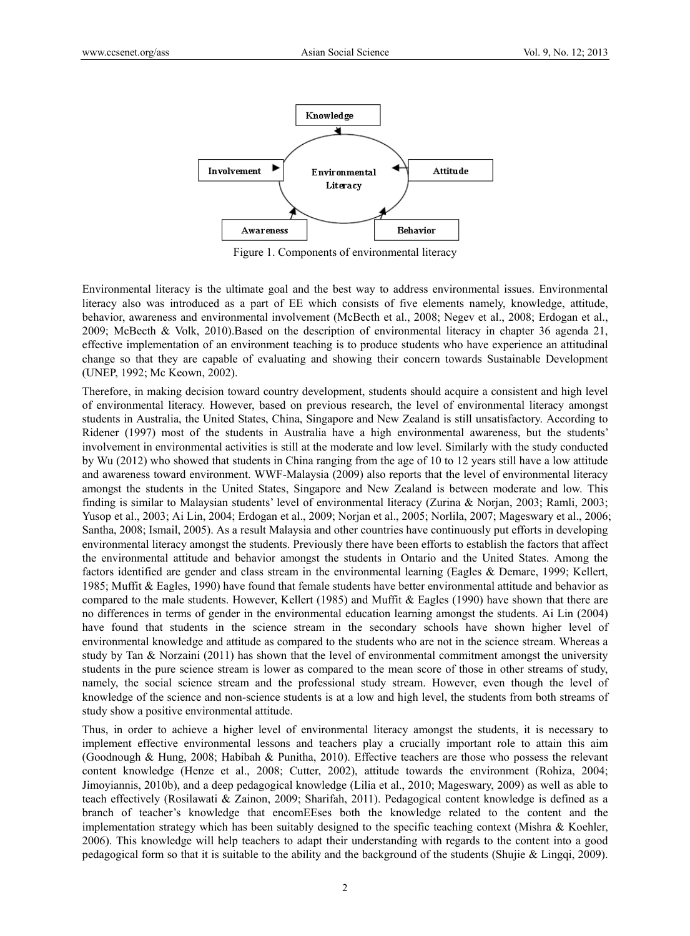

Figure 1. Components of environmental literacy

Environmental literacy is the ultimate goal and the best way to address environmental issues. Environmental literacy also was introduced as a part of EE which consists of five elements namely, knowledge, attitude, behavior, awareness and environmental involvement (McBecth et al., 2008; Negev et al., 2008; Erdogan et al., 2009; McBecth & Volk, 2010).Based on the description of environmental literacy in chapter 36 agenda 21, effective implementation of an environment teaching is to produce students who have experience an attitudinal change so that they are capable of evaluating and showing their concern towards Sustainable Development (UNEP, 1992; Mc Keown, 2002).

Therefore, in making decision toward country development, students should acquire a consistent and high level of environmental literacy. However, based on previous research, the level of environmental literacy amongst students in Australia, the United States, China, Singapore and New Zealand is still unsatisfactory. According to Ridener (1997) most of the students in Australia have a high environmental awareness, but the students' involvement in environmental activities is still at the moderate and low level. Similarly with the study conducted by Wu (2012) who showed that students in China ranging from the age of 10 to 12 years still have a low attitude and awareness toward environment. WWF-Malaysia (2009) also reports that the level of environmental literacy amongst the students in the United States, Singapore and New Zealand is between moderate and low. This finding is similar to Malaysian students' level of environmental literacy (Zurina & Norjan, 2003; Ramli, 2003; Yusop et al., 2003; Ai Lin, 2004; Erdogan et al., 2009; Norjan et al., 2005; Norlila, 2007; Mageswary et al., 2006; Santha, 2008; Ismail, 2005). As a result Malaysia and other countries have continuously put efforts in developing environmental literacy amongst the students. Previously there have been efforts to establish the factors that affect the environmental attitude and behavior amongst the students in Ontario and the United States. Among the factors identified are gender and class stream in the environmental learning (Eagles & Demare, 1999; Kellert, 1985; Muffit & Eagles, 1990) have found that female students have better environmental attitude and behavior as compared to the male students. However, Kellert (1985) and Muffit & Eagles (1990) have shown that there are no differences in terms of gender in the environmental education learning amongst the students. Ai Lin (2004) have found that students in the science stream in the secondary schools have shown higher level of environmental knowledge and attitude as compared to the students who are not in the science stream. Whereas a study by Tan & Norzaini (2011) has shown that the level of environmental commitment amongst the university students in the pure science stream is lower as compared to the mean score of those in other streams of study, namely, the social science stream and the professional study stream. However, even though the level of knowledge of the science and non-science students is at a low and high level, the students from both streams of study show a positive environmental attitude.

Thus, in order to achieve a higher level of environmental literacy amongst the students, it is necessary to implement effective environmental lessons and teachers play a crucially important role to attain this aim (Goodnough & Hung, 2008; Habibah & Punitha, 2010). Effective teachers are those who possess the relevant content knowledge (Henze et al., 2008; Cutter, 2002), attitude towards the environment (Rohiza, 2004; Jimoyiannis, 2010b), and a deep pedagogical knowledge (Lilia et al., 2010; Mageswary, 2009) as well as able to teach effectively (Rosilawati & Zainon, 2009; Sharifah, 2011). Pedagogical content knowledge is defined as a branch of teacher's knowledge that encomEEses both the knowledge related to the content and the implementation strategy which has been suitably designed to the specific teaching context (Mishra & Koehler, 2006). This knowledge will help teachers to adapt their understanding with regards to the content into a good pedagogical form so that it is suitable to the ability and the background of the students (Shujie & Lingqi, 2009).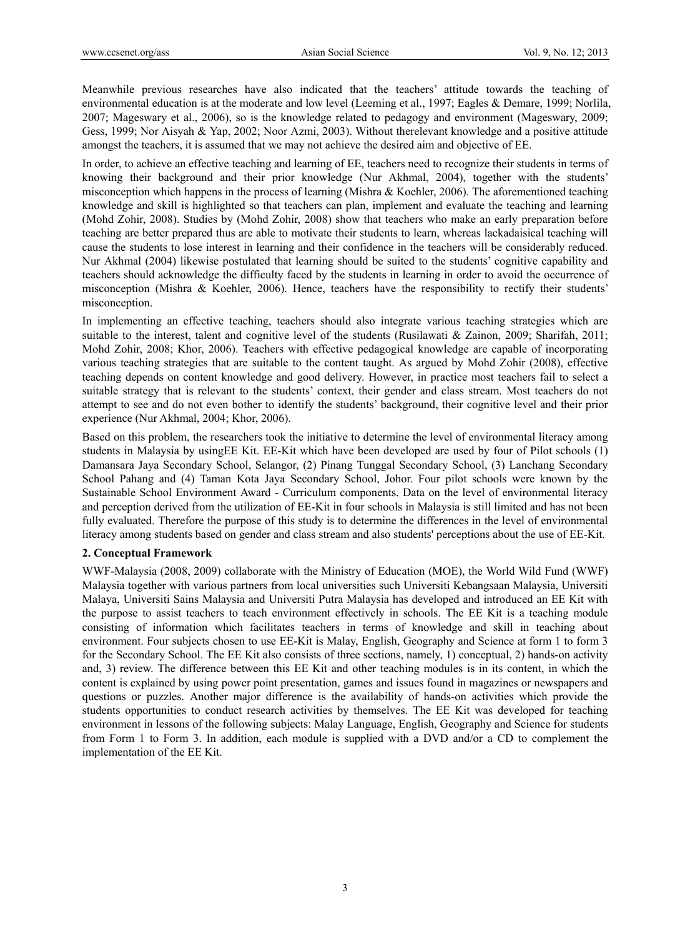Meanwhile previous researches have also indicated that the teachers' attitude towards the teaching of environmental education is at the moderate and low level (Leeming et al., 1997; Eagles & Demare, 1999; Norlila, 2007; Mageswary et al., 2006), so is the knowledge related to pedagogy and environment (Mageswary, 2009; Gess, 1999; Nor Aisyah & Yap, 2002; Noor Azmi, 2003). Without therelevant knowledge and a positive attitude amongst the teachers, it is assumed that we may not achieve the desired aim and objective of EE.

In order, to achieve an effective teaching and learning of EE, teachers need to recognize their students in terms of knowing their background and their prior knowledge (Nur Akhmal, 2004), together with the students' misconception which happens in the process of learning (Mishra & Koehler, 2006). The aforementioned teaching knowledge and skill is highlighted so that teachers can plan, implement and evaluate the teaching and learning (Mohd Zohir, 2008). Studies by (Mohd Zohir, 2008) show that teachers who make an early preparation before teaching are better prepared thus are able to motivate their students to learn, whereas lackadaisical teaching will cause the students to lose interest in learning and their confidence in the teachers will be considerably reduced. Nur Akhmal (2004) likewise postulated that learning should be suited to the students' cognitive capability and teachers should acknowledge the difficulty faced by the students in learning in order to avoid the occurrence of misconception (Mishra & Koehler, 2006). Hence, teachers have the responsibility to rectify their students' misconception.

In implementing an effective teaching, teachers should also integrate various teaching strategies which are suitable to the interest, talent and cognitive level of the students (Rusilawati & Zainon, 2009; Sharifah, 2011; Mohd Zohir, 2008; Khor, 2006). Teachers with effective pedagogical knowledge are capable of incorporating various teaching strategies that are suitable to the content taught. As argued by Mohd Zohir (2008), effective teaching depends on content knowledge and good delivery. However, in practice most teachers fail to select a suitable strategy that is relevant to the students' context, their gender and class stream. Most teachers do not attempt to see and do not even bother to identify the students' background, their cognitive level and their prior experience (Nur Akhmal, 2004; Khor, 2006).

Based on this problem, the researchers took the initiative to determine the level of environmental literacy among students in Malaysia by usingEE Kit. EE-Kit which have been developed are used by four of Pilot schools (1) Damansara Jaya Secondary School, Selangor, (2) Pinang Tunggal Secondary School, (3) Lanchang Secondary School Pahang and (4) Taman Kota Jaya Secondary School, Johor. Four pilot schools were known by the Sustainable School Environment Award - Curriculum components. Data on the level of environmental literacy and perception derived from the utilization of EE-Kit in four schools in Malaysia is still limited and has not been fully evaluated. Therefore the purpose of this study is to determine the differences in the level of environmental literacy among students based on gender and class stream and also students' perceptions about the use of EE-Kit.

# **2. Conceptual Framework**

WWF-Malaysia (2008, 2009) collaborate with the Ministry of Education (MOE), the World Wild Fund (WWF) Malaysia together with various partners from local universities such Universiti Kebangsaan Malaysia, Universiti Malaya, Universiti Sains Malaysia and Universiti Putra Malaysia has developed and introduced an EE Kit with the purpose to assist teachers to teach environment effectively in schools. The EE Kit is a teaching module consisting of information which facilitates teachers in terms of knowledge and skill in teaching about environment. Four subjects chosen to use EE-Kit is Malay, English, Geography and Science at form 1 to form 3 for the Secondary School. The EE Kit also consists of three sections, namely, 1) conceptual, 2) hands-on activity and, 3) review. The difference between this EE Kit and other teaching modules is in its content, in which the content is explained by using power point presentation, games and issues found in magazines or newspapers and questions or puzzles. Another major difference is the availability of hands-on activities which provide the students opportunities to conduct research activities by themselves. The EE Kit was developed for teaching environment in lessons of the following subjects: Malay Language, English, Geography and Science for students from Form 1 to Form 3. In addition, each module is supplied with a DVD and/or a CD to complement the implementation of the EE Kit.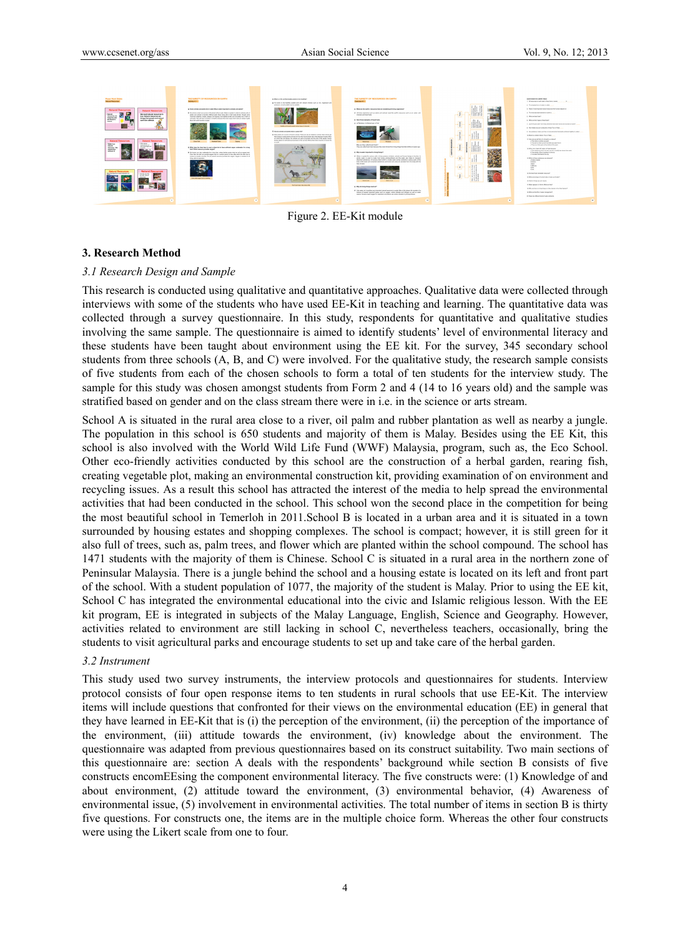

Figure 2. EE-Kit module

#### **3. Research Method**

#### *3.1 Research Design and Sample*

This research is conducted using qualitative and quantitative approaches. Qualitative data were collected through interviews with some of the students who have used EE-Kit in teaching and learning. The quantitative data was collected through a survey questionnaire. In this study, respondents for quantitative and qualitative studies involving the same sample. The questionnaire is aimed to identify students' level of environmental literacy and these students have been taught about environment using the EE kit. For the survey, 345 secondary school students from three schools (A, B, and C) were involved. For the qualitative study, the research sample consists of five students from each of the chosen schools to form a total of ten students for the interview study. The sample for this study was chosen amongst students from Form 2 and 4 (14 to 16 years old) and the sample was stratified based on gender and on the class stream there were in i.e. in the science or arts stream.

School A is situated in the rural area close to a river, oil palm and rubber plantation as well as nearby a jungle. The population in this school is 650 students and majority of them is Malay. Besides using the EE Kit, this school is also involved with the World Wild Life Fund (WWF) Malaysia, program, such as, the Eco School. Other eco-friendly activities conducted by this school are the construction of a herbal garden, rearing fish, creating vegetable plot, making an environmental construction kit, providing examination of on environment and recycling issues. As a result this school has attracted the interest of the media to help spread the environmental activities that had been conducted in the school. This school won the second place in the competition for being the most beautiful school in Temerloh in 2011.School B is located in a urban area and it is situated in a town surrounded by housing estates and shopping complexes. The school is compact; however, it is still green for it also full of trees, such as, palm trees, and flower which are planted within the school compound. The school has 1471 students with the majority of them is Chinese. School C is situated in a rural area in the northern zone of Peninsular Malaysia. There is a jungle behind the school and a housing estate is located on its left and front part of the school. With a student population of 1077, the majority of the student is Malay. Prior to using the EE kit, School C has integrated the environmental educational into the civic and Islamic religious lesson. With the EE kit program, EE is integrated in subjects of the Malay Language, English, Science and Geography. However, activities related to environment are still lacking in school C, nevertheless teachers, occasionally, bring the students to visit agricultural parks and encourage students to set up and take care of the herbal garden.

#### *3.2 Instrument*

This study used two survey instruments, the interview protocols and questionnaires for students. Interview protocol consists of four open response items to ten students in rural schools that use EE-Kit. The interview items will include questions that confronted for their views on the environmental education (EE) in general that they have learned in EE-Kit that is (i) the perception of the environment, (ii) the perception of the importance of the environment, (iii) attitude towards the environment, (iv) knowledge about the environment. The questionnaire was adapted from previous questionnaires based on its construct suitability. Two main sections of this questionnaire are: section A deals with the respondents' background while section B consists of five constructs encomEEsing the component environmental literacy. The five constructs were: (1) Knowledge of and about environment, (2) attitude toward the environment, (3) environmental behavior, (4) Awareness of environmental issue, (5) involvement in environmental activities. The total number of items in section B is thirty five questions. For constructs one, the items are in the multiple choice form. Whereas the other four constructs were using the Likert scale from one to four.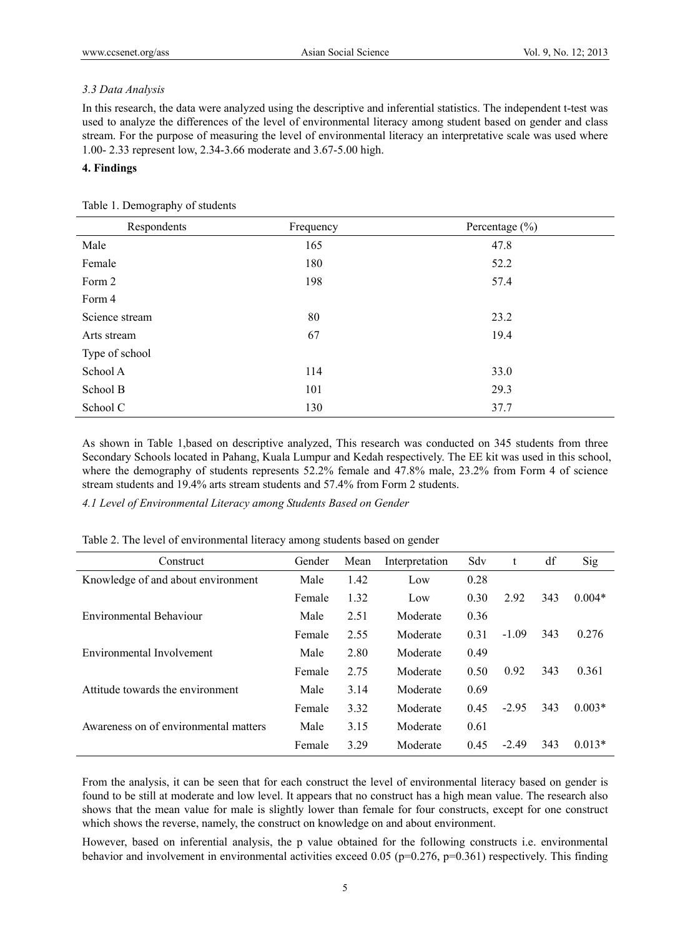## *3.3 Data Analysis*

In this research, the data were analyzed using the descriptive and inferential statistics. The independent t-test was used to analyze the differences of the level of environmental literacy among student based on gender and class stream. For the purpose of measuring the level of environmental literacy an interpretative scale was used where 1.00- 2.33 represent low, 2.34-3.66 moderate and 3.67-5.00 high.

## **4. Findings**

| Respondents    | Frequency | Percentage $(\% )$ |
|----------------|-----------|--------------------|
| Male           | 165       | 47.8               |
| Female         | 180       | 52.2               |
| Form 2         | 198       | 57.4               |
| Form 4         |           |                    |
| Science stream | 80        | 23.2               |
| Arts stream    | 67        | 19.4               |
| Type of school |           |                    |
| School A       | 114       | 33.0               |
| School B       | 101       | 29.3               |
| School C       | 130       | 37.7               |

As shown in Table 1,based on descriptive analyzed, This research was conducted on 345 students from three Secondary Schools located in Pahang, Kuala Lumpur and Kedah respectively. The EE kit was used in this school, where the demography of students represents 52.2% female and 47.8% male, 23.2% from Form 4 of science stream students and 19.4% arts stream students and 57.4% from Form 2 students.

*4.1 Level of Environmental Literacy among Students Based on Gender* 

| Construct                             | Gender | Mean | Interpretation | Sdv  | t       | df  | Sig      |
|---------------------------------------|--------|------|----------------|------|---------|-----|----------|
| Knowledge of and about environment    | Male   | 1.42 | Low            | 0.28 |         |     |          |
|                                       | Female | 1.32 | Low            | 0.30 | 2.92    | 343 | $0.004*$ |
| Environmental Behaviour               | Male   | 2.51 | Moderate       | 0.36 |         |     |          |
|                                       | Female | 2.55 | Moderate       | 0.31 | $-1.09$ | 343 | 0.276    |
| Environmental Involvement             | Male   | 2.80 | Moderate       | 0.49 |         |     |          |
|                                       | Female | 2.75 | Moderate       | 0.50 | 0.92    | 343 | 0.361    |
| Attitude towards the environment      | Male   | 3.14 | Moderate       | 0.69 |         |     |          |
|                                       | Female | 3.32 | Moderate       | 0.45 | $-2.95$ | 343 | $0.003*$ |
| Awareness on of environmental matters | Male   | 3.15 | Moderate       | 0.61 |         |     |          |
|                                       | Female | 3.29 | Moderate       | 0.45 | $-2.49$ | 343 | $0.013*$ |

Table 2. The level of environmental literacy among students based on gender

From the analysis, it can be seen that for each construct the level of environmental literacy based on gender is found to be still at moderate and low level. It appears that no construct has a high mean value. The research also shows that the mean value for male is slightly lower than female for four constructs, except for one construct which shows the reverse, namely, the construct on knowledge on and about environment.

However, based on inferential analysis, the p value obtained for the following constructs i.e. environmental behavior and involvement in environmental activities exceed  $0.05$  (p=0.276, p=0.361) respectively. This finding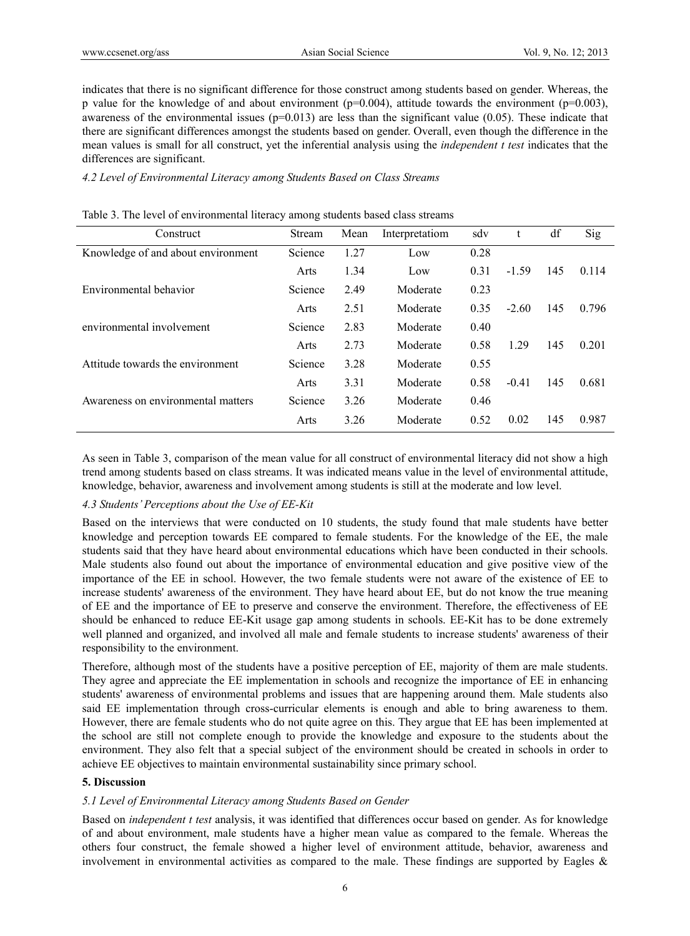indicates that there is no significant difference for those construct among students based on gender. Whereas, the p value for the knowledge of and about environment ( $p=0.004$ ), attitude towards the environment ( $p=0.003$ ), awareness of the environmental issues ( $p=0.013$ ) are less than the significant value (0.05). These indicate that there are significant differences amongst the students based on gender. Overall, even though the difference in the mean values is small for all construct, yet the inferential analysis using the *independent t test* indicates that the differences are significant.

#### *4.2 Level of Environmental Literacy among Students Based on Class Streams*

| Construct                          | Stream  | Mean | Interpretatiom | sdv  | t       | df  | Sig   |
|------------------------------------|---------|------|----------------|------|---------|-----|-------|
| Knowledge of and about environment | Science | 1.27 | Low            | 0.28 |         |     |       |
|                                    | Arts    | 1.34 | Low            | 0.31 | $-1.59$ | 145 | 0.114 |
| Environmental behavior             | Science | 2.49 | Moderate       | 0.23 |         |     |       |
|                                    | Arts    | 2.51 | Moderate       | 0.35 | $-2.60$ | 145 | 0.796 |
| environmental involvement          | Science | 2.83 | Moderate       | 0.40 |         |     |       |
|                                    | Arts    | 2.73 | Moderate       | 0.58 | 1.29    | 145 | 0.201 |
| Attitude towards the environment   | Science | 3.28 | Moderate       | 0.55 |         |     |       |
|                                    | Arts    | 3.31 | Moderate       | 0.58 | $-0.41$ | 145 | 0.681 |
| Awareness on environmental matters | Science | 3.26 | Moderate       | 0.46 |         |     |       |
|                                    | Arts    | 3.26 | Moderate       | 0.52 | 0.02    | 145 | 0.987 |

As seen in Table 3, comparison of the mean value for all construct of environmental literacy did not show a high trend among students based on class streams. It was indicated means value in the level of environmental attitude, knowledge, behavior, awareness and involvement among students is still at the moderate and low level.

# *4.3 Students' Perceptions about the Use of EE-Kit*

Based on the interviews that were conducted on 10 students, the study found that male students have better knowledge and perception towards EE compared to female students. For the knowledge of the EE, the male students said that they have heard about environmental educations which have been conducted in their schools. Male students also found out about the importance of environmental education and give positive view of the importance of the EE in school. However, the two female students were not aware of the existence of EE to increase students' awareness of the environment. They have heard about EE, but do not know the true meaning of EE and the importance of EE to preserve and conserve the environment. Therefore, the effectiveness of EE should be enhanced to reduce EE-Kit usage gap among students in schools. EE-Kit has to be done extremely well planned and organized, and involved all male and female students to increase students' awareness of their responsibility to the environment.

Therefore, although most of the students have a positive perception of EE, majority of them are male students. They agree and appreciate the EE implementation in schools and recognize the importance of EE in enhancing students' awareness of environmental problems and issues that are happening around them. Male students also said EE implementation through cross-curricular elements is enough and able to bring awareness to them. However, there are female students who do not quite agree on this. They argue that EE has been implemented at the school are still not complete enough to provide the knowledge and exposure to the students about the environment. They also felt that a special subject of the environment should be created in schools in order to achieve EE objectives to maintain environmental sustainability since primary school.

# **5. Discussion**

# *5.1 Level of Environmental Literacy among Students Based on Gender*

Based on *independent t test* analysis, it was identified that differences occur based on gender. As for knowledge of and about environment, male students have a higher mean value as compared to the female. Whereas the others four construct, the female showed a higher level of environment attitude, behavior, awareness and involvement in environmental activities as compared to the male. These findings are supported by Eagles  $\&$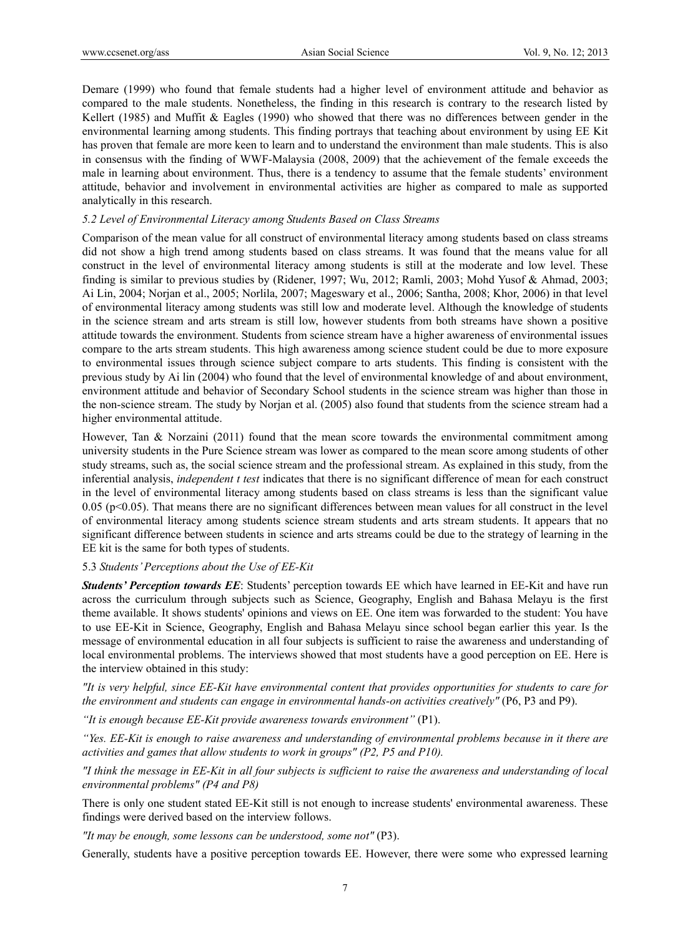Demare (1999) who found that female students had a higher level of environment attitude and behavior as compared to the male students. Nonetheless, the finding in this research is contrary to the research listed by Kellert (1985) and Muffit & Eagles (1990) who showed that there was no differences between gender in the environmental learning among students. This finding portrays that teaching about environment by using EE Kit has proven that female are more keen to learn and to understand the environment than male students. This is also in consensus with the finding of WWF-Malaysia (2008, 2009) that the achievement of the female exceeds the male in learning about environment. Thus, there is a tendency to assume that the female students' environment attitude, behavior and involvement in environmental activities are higher as compared to male as supported analytically in this research.

#### *5.2 Level of Environmental Literacy among Students Based on Class Streams*

Comparison of the mean value for all construct of environmental literacy among students based on class streams did not show a high trend among students based on class streams. It was found that the means value for all construct in the level of environmental literacy among students is still at the moderate and low level. These finding is similar to previous studies by (Ridener, 1997; Wu, 2012; Ramli, 2003; Mohd Yusof & Ahmad, 2003; Ai Lin, 2004; Norjan et al., 2005; Norlila, 2007; Mageswary et al., 2006; Santha, 2008; Khor, 2006) in that level of environmental literacy among students was still low and moderate level. Although the knowledge of students in the science stream and arts stream is still low, however students from both streams have shown a positive attitude towards the environment. Students from science stream have a higher awareness of environmental issues compare to the arts stream students. This high awareness among science student could be due to more exposure to environmental issues through science subject compare to arts students. This finding is consistent with the previous study by Ai lin (2004) who found that the level of environmental knowledge of and about environment, environment attitude and behavior of Secondary School students in the science stream was higher than those in the non-science stream. The study by Norjan et al. (2005) also found that students from the science stream had a higher environmental attitude.

However, Tan & Norzaini (2011) found that the mean score towards the environmental commitment among university students in the Pure Science stream was lower as compared to the mean score among students of other study streams, such as, the social science stream and the professional stream. As explained in this study, from the inferential analysis, *independent t test* indicates that there is no significant difference of mean for each construct in the level of environmental literacy among students based on class streams is less than the significant value  $0.05$  (p<0.05). That means there are no significant differences between mean values for all construct in the level of environmental literacy among students science stream students and arts stream students. It appears that no significant difference between students in science and arts streams could be due to the strategy of learning in the EE kit is the same for both types of students.

#### 5.3 *Students' Perceptions about the Use of EE-Kit*

*Students' Perception towards EE*: Students' perception towards EE which have learned in EE-Kit and have run across the curriculum through subjects such as Science, Geography, English and Bahasa Melayu is the first theme available. It shows students' opinions and views on EE. One item was forwarded to the student: You have to use EE-Kit in Science, Geography, English and Bahasa Melayu since school began earlier this year. Is the message of environmental education in all four subjects is sufficient to raise the awareness and understanding of local environmental problems. The interviews showed that most students have a good perception on EE. Here is the interview obtained in this study:

*"It is very helpful, since EE-Kit have environmental content that provides opportunities for students to care for the environment and students can engage in environmental hands-on activities creatively"* (P6, P3 and P9).

*"It is enough because EE-Kit provide awareness towards environment"* (P1).

*"Yes. EE-Kit is enough to raise awareness and understanding of environmental problems because in it there are activities and games that allow students to work in groups" (P2, P5 and P10).* 

*"I think the message in EE-Kit in all four subjects is sufficient to raise the awareness and understanding of local environmental problems" (P4 and P8)* 

There is only one student stated EE-Kit still is not enough to increase students' environmental awareness. These findings were derived based on the interview follows.

*"It may be enough, some lessons can be understood, some not"* (P3).

Generally, students have a positive perception towards EE. However, there were some who expressed learning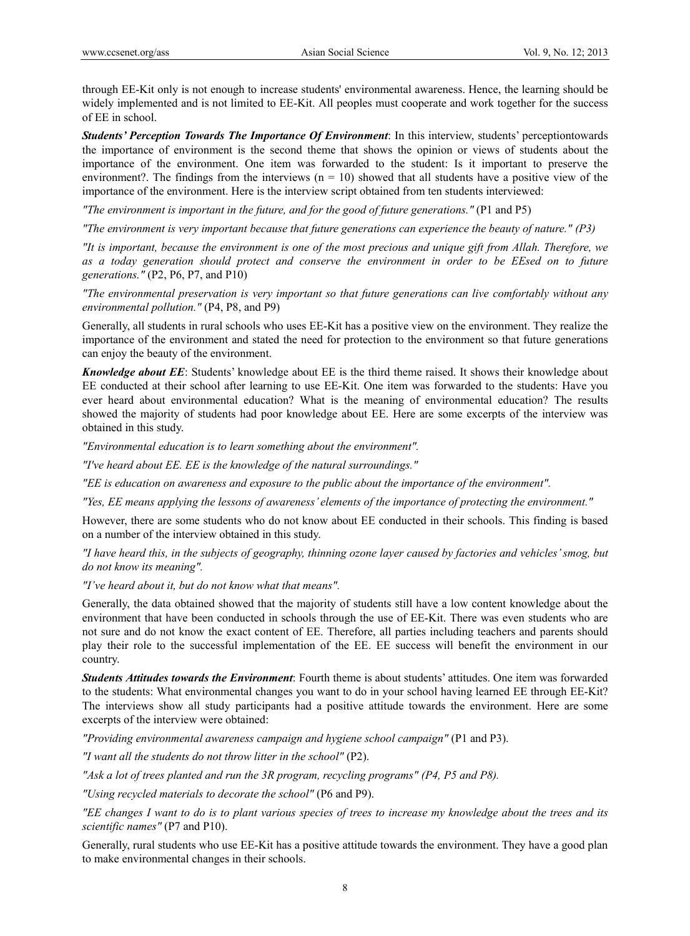through EE-Kit only is not enough to increase students' environmental awareness. Hence, the learning should be widely implemented and is not limited to EE-Kit. All peoples must cooperate and work together for the success of EE in school.

*Students' Perception Towards The Importance Of Environment*: In this interview, students' perceptiontowards the importance of environment is the second theme that shows the opinion or views of students about the importance of the environment. One item was forwarded to the student: Is it important to preserve the environment?. The findings from the interviews  $(n = 10)$  showed that all students have a positive view of the importance of the environment. Here is the interview script obtained from ten students interviewed:

*"The environment is important in the future, and for the good of future generations."* (P1 and P5)

*"The environment is very important because that future generations can experience the beauty of nature." (P3)* 

*"It is important, because the environment is one of the most precious and unique gift from Allah. Therefore, we as a today generation should protect and conserve the environment in order to be EEsed on to future generations."* (P2, P6, P7, and P10)

*"The environmental preservation is very important so that future generations can live comfortably without any environmental pollution."* (P4, P8, and P9)

Generally, all students in rural schools who uses EE-Kit has a positive view on the environment. They realize the importance of the environment and stated the need for protection to the environment so that future generations can enjoy the beauty of the environment.

*Knowledge about EE*: Students' knowledge about EE is the third theme raised. It shows their knowledge about EE conducted at their school after learning to use EE-Kit. One item was forwarded to the students: Have you ever heard about environmental education? What is the meaning of environmental education? The results showed the majority of students had poor knowledge about EE. Here are some excerpts of the interview was obtained in this study.

*"Environmental education is to learn something about the environment".* 

*"I've heard about EE. EE is the knowledge of the natural surroundings."* 

*"EE is education on awareness and exposure to the public about the importance of the environment".* 

*"Yes, EE means applying the lessons of awareness' elements of the importance of protecting the environment."* 

However, there are some students who do not know about EE conducted in their schools. This finding is based on a number of the interview obtained in this study.

*"I have heard this, in the subjects of geography, thinning ozone layer caused by factories and vehicles' smog, but do not know its meaning".* 

*"I've heard about it, but do not know what that means".* 

Generally, the data obtained showed that the majority of students still have a low content knowledge about the environment that have been conducted in schools through the use of EE-Kit. There was even students who are not sure and do not know the exact content of EE. Therefore, all parties including teachers and parents should play their role to the successful implementation of the EE. EE success will benefit the environment in our country.

*Students Attitudes towards the Environment*: Fourth theme is about students' attitudes. One item was forwarded to the students: What environmental changes you want to do in your school having learned EE through EE-Kit? The interviews show all study participants had a positive attitude towards the environment. Here are some excerpts of the interview were obtained:

*"Providing environmental awareness campaign and hygiene school campaign"* (P1 and P3).

*"I want all the students do not throw litter in the school"* (P2).

*"Ask a lot of trees planted and run the 3R program, recycling programs" (P4, P5 and P8).* 

*"Using recycled materials to decorate the school"* (P6 and P9).

*"EE changes I want to do is to plant various species of trees to increase my knowledge about the trees and its scientific names"* (P7 and P10).

Generally, rural students who use EE-Kit has a positive attitude towards the environment. They have a good plan to make environmental changes in their schools.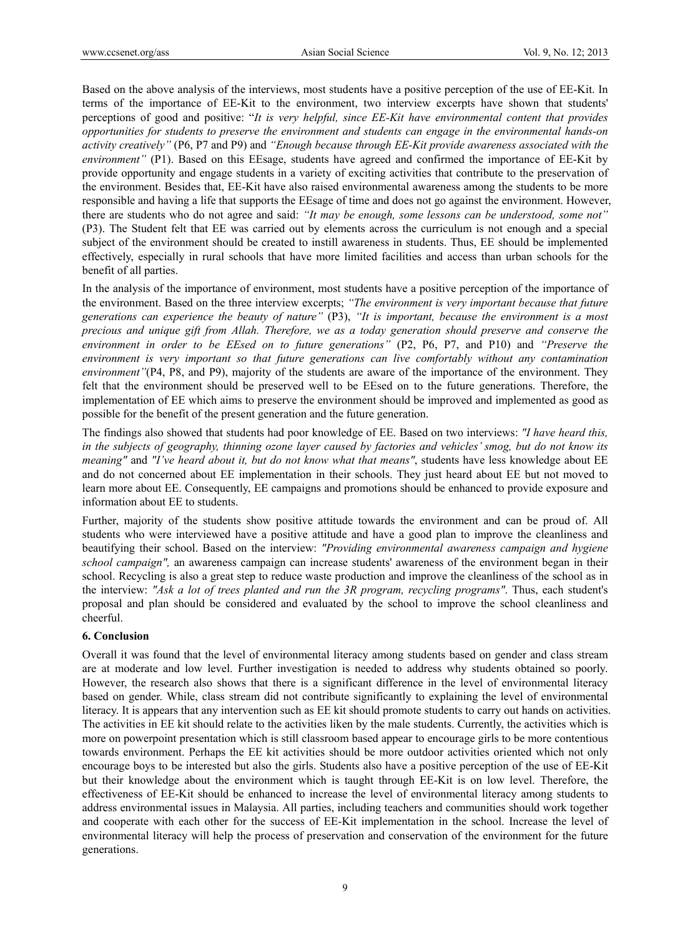Based on the above analysis of the interviews, most students have a positive perception of the use of EE-Kit. In terms of the importance of EE-Kit to the environment, two interview excerpts have shown that students' perceptions of good and positive: "*It is very helpful, since EE-Kit have environmental content that provides opportunities for students to preserve the environment and students can engage in the environmental hands-on activity creatively"* (P6, P7 and P9) and *"Enough because through EE-Kit provide awareness associated with the environment"* (P1). Based on this EEsage, students have agreed and confirmed the importance of EE-Kit by provide opportunity and engage students in a variety of exciting activities that contribute to the preservation of the environment. Besides that, EE-Kit have also raised environmental awareness among the students to be more responsible and having a life that supports the EEsage of time and does not go against the environment. However, there are students who do not agree and said: *"It may be enough, some lessons can be understood, some not"* (P3). The Student felt that EE was carried out by elements across the curriculum is not enough and a special subject of the environment should be created to instill awareness in students. Thus, EE should be implemented effectively, especially in rural schools that have more limited facilities and access than urban schools for the benefit of all parties.

In the analysis of the importance of environment, most students have a positive perception of the importance of the environment. Based on the three interview excerpts; *"The environment is very important because that future generations can experience the beauty of nature"* (P3), *"It is important, because the environment is a most precious and unique gift from Allah. Therefore, we as a today generation should preserve and conserve the environment in order to be EEsed on to future generations"* (P2, P6, P7, and P10) and *"Preserve the environment is very important so that future generations can live comfortably without any contamination environment"*(P4, P8, and P9), majority of the students are aware of the importance of the environment. They felt that the environment should be preserved well to be EEsed on to the future generations. Therefore, the implementation of EE which aims to preserve the environment should be improved and implemented as good as possible for the benefit of the present generation and the future generation.

The findings also showed that students had poor knowledge of EE. Based on two interviews: *"I have heard this, in the subjects of geography, thinning ozone layer caused by factories and vehicles' smog, but do not know its meaning"* and *"I've heard about it, but do not know what that means"*, students have less knowledge about EE and do not concerned about EE implementation in their schools. They just heard about EE but not moved to learn more about EE. Consequently, EE campaigns and promotions should be enhanced to provide exposure and information about EE to students.

Further, majority of the students show positive attitude towards the environment and can be proud of. All students who were interviewed have a positive attitude and have a good plan to improve the cleanliness and beautifying their school. Based on the interview: *"Providing environmental awareness campaign and hygiene school campaign",* an awareness campaign can increase students' awareness of the environment began in their school. Recycling is also a great step to reduce waste production and improve the cleanliness of the school as in the interview: *"Ask a lot of trees planted and run the 3R program, recycling programs"*. Thus, each student's proposal and plan should be considered and evaluated by the school to improve the school cleanliness and cheerful.

#### **6. Conclusion**

Overall it was found that the level of environmental literacy among students based on gender and class stream are at moderate and low level. Further investigation is needed to address why students obtained so poorly. However, the research also shows that there is a significant difference in the level of environmental literacy based on gender. While, class stream did not contribute significantly to explaining the level of environmental literacy. It is appears that any intervention such as EE kit should promote students to carry out hands on activities. The activities in EE kit should relate to the activities liken by the male students. Currently, the activities which is more on powerpoint presentation which is still classroom based appear to encourage girls to be more contentious towards environment. Perhaps the EE kit activities should be more outdoor activities oriented which not only encourage boys to be interested but also the girls. Students also have a positive perception of the use of EE-Kit but their knowledge about the environment which is taught through EE-Kit is on low level. Therefore, the effectiveness of EE-Kit should be enhanced to increase the level of environmental literacy among students to address environmental issues in Malaysia. All parties, including teachers and communities should work together and cooperate with each other for the success of EE-Kit implementation in the school. Increase the level of environmental literacy will help the process of preservation and conservation of the environment for the future generations.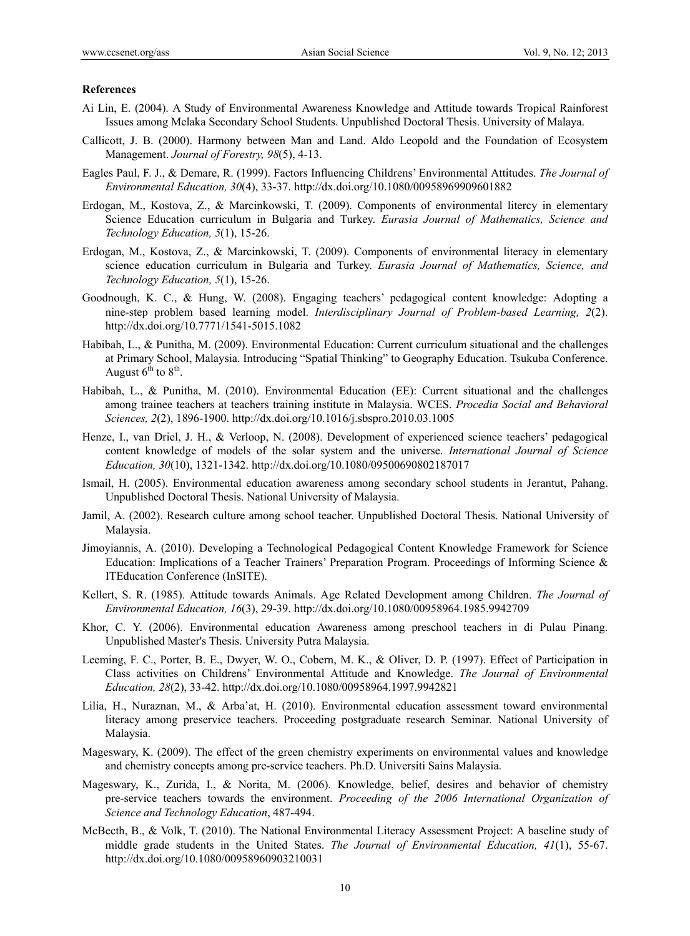#### **References**

- Ai Lin, E. (2004). A Study of Environmental Awareness Knowledge and Attitude towards Tropical Rainforest Issues among Melaka Secondary School Students. Unpublished Doctoral Thesis. University of Malaya.
- Callicott, J. B. (2000). Harmony between Man and Land. Aldo Leopold and the Foundation of Ecosystem Management. *Journal of Forestry, 98*(5), 4-13.
- Eagles Paul, F. J., & Demare, R. (1999). Factors Influencing Childrens' Environmental Attitudes. *The Journal of Environmental Education, 30*(4), 33-37. http://dx.doi.org/10.1080/00958969909601882
- Erdogan, M., Kostova, Z., & Marcinkowski, T. (2009). Components of environmental litercy in elementary Science Education curriculum in Bulgaria and Turkey. *Eurasia Journal of Mathematics, Science and Technology Education, 5*(1), 15-26.
- Erdogan, M., Kostova, Z., & Marcinkowski, T. (2009). Components of environmental literacy in elementary science education curriculum in Bulgaria and Turkey. *Eurasia Journal of Mathematics, Science, and Technology Education, 5*(1), 15-26.
- Goodnough, K. C., & Hung, W. (2008). Engaging teachers' pedagogical content knowledge: Adopting a nine-step problem based learning model. *Interdisciplinary Journal of Problem-based Learning, 2*(2). http://dx.doi.org/10.7771/1541-5015.1082
- Habibah, L., & Punitha, M. (2009). Environmental Education: Current curriculum situational and the challenges at Primary School, Malaysia. Introducing "Spatial Thinking" to Geography Education. Tsukuba Conference. August  $6^{th}$  to  $8^{th}$ .
- Habibah, L., & Punitha, M. (2010). Environmental Education (EE): Current situational and the challenges among trainee teachers at teachers training institute in Malaysia. WCES. *Procedia Social and Behavioral Sciences, 2*(2), 1896-1900. http://dx.doi.org/10.1016/j.sbspro.2010.03.1005
- Henze, I., van Driel, J. H., & Verloop, N. (2008). Development of experienced science teachers' pedagogical content knowledge of models of the solar system and the universe. *International Journal of Science Education, 30*(10), 1321-1342. http://dx.doi.org/10.1080/09500690802187017
- Ismail, H. (2005). Environmental education awareness among secondary school students in Jerantut, Pahang. Unpublished Doctoral Thesis. National University of Malaysia.
- Jamil, A. (2002). Research culture among school teacher. Unpublished Doctoral Thesis. National University of Malaysia.
- Jimoyiannis, A. (2010). Developing a Technological Pedagogical Content Knowledge Framework for Science Education: Implications of a Teacher Trainers' Preparation Program. Proceedings of Informing Science & ITEducation Conference (InSITE).
- Kellert, S. R. (1985). Attitude towards Animals. Age Related Development among Children. *The Journal of Environmental Education, 16*(3), 29-39. http://dx.doi.org/10.1080/00958964.1985.9942709
- Khor, C. Y. (2006). Environmental education Awareness among preschool teachers in di Pulau Pinang. Unpublished Master's Thesis. University Putra Malaysia.
- Leeming, F. C., Porter, B. E., Dwyer, W. O., Cobern, M. K., & Oliver, D. P. (1997). Effect of Participation in Class activities on Childrens' Environmental Attitude and Knowledge. *The Journal of Environmental Education, 28*(2), 33-42. http://dx.doi.org/10.1080/00958964.1997.9942821
- Lilia, H., Nuraznan, M., & Arba'at, H. (2010). Environmental education assessment toward environmental literacy among preservice teachers. Proceeding postgraduate research Seminar. National University of Malaysia.
- Mageswary, K. (2009). The effect of the green chemistry experiments on environmental values and knowledge and chemistry concepts among pre-service teachers. Ph.D. Universiti Sains Malaysia.
- Mageswary, K., Zurida, I., & Norita, M. (2006). Knowledge, belief, desires and behavior of chemistry pre-service teachers towards the environment. *Proceeding of the 2006 International Organization of Science and Technology Education*, 487-494.
- McBecth, B., & Volk, T. (2010). The National Environmental Literacy Assessment Project: A baseline study of middle grade students in the United States. *The Journal of Environmental Education, 41*(1), 55-67. http://dx.doi.org/10.1080/00958960903210031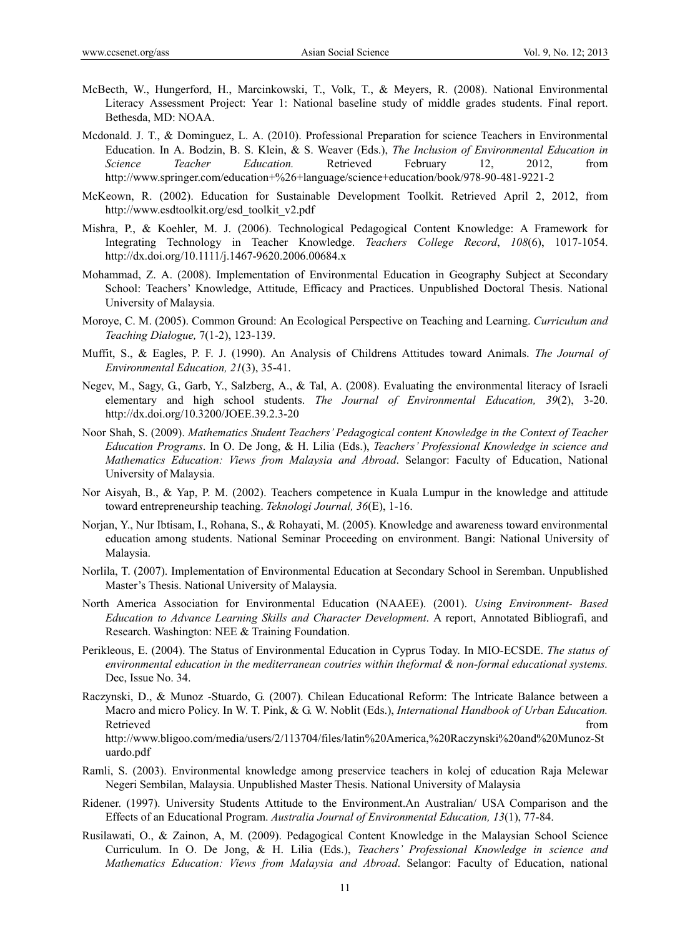- McBecth, W., Hungerford, H., Marcinkowski, T., Volk, T., & Meyers, R. (2008). National Environmental Literacy Assessment Project: Year 1: National baseline study of middle grades students. Final report. Bethesda, MD: NOAA.
- Mcdonald. J. T., & Dominguez, L. A. (2010). Professional Preparation for science Teachers in Environmental Education. In A. Bodzin, B. S. Klein, & S. Weaver (Eds.), *The Inclusion of Environmental Education in Science Teacher Education.* Retrieved February 12, 2012, from http://www.springer.com/education+%26+language/science+education/book/978-90-481-9221-2
- McKeown, R. (2002). Education for Sustainable Development Toolkit. Retrieved April 2, 2012, from http://www.esdtoolkit.org/esd\_toolkit\_v2.pdf
- Mishra, P., & Koehler, M. J. (2006). Technological Pedagogical Content Knowledge: A Framework for Integrating Technology in Teacher Knowledge. *Teachers College Record*, *108*(6), 1017-1054. http://dx.doi.org/10.1111/j.1467-9620.2006.00684.x
- Mohammad, Z. A. (2008). Implementation of Environmental Education in Geography Subject at Secondary School: Teachers' Knowledge, Attitude, Efficacy and Practices. Unpublished Doctoral Thesis. National University of Malaysia.
- Moroye, C. M. (2005). Common Ground: An Ecological Perspective on Teaching and Learning. *Curriculum and Teaching Dialogue,* 7(1-2), 123-139.
- Muffit, S., & Eagles, P. F. J. (1990). An Analysis of Childrens Attitudes toward Animals. *The Journal of Environmental Education, 21*(3), 35-41.
- Negev, M., Sagy, G., Garb, Y., Salzberg, A., & Tal, A. (2008). Evaluating the environmental literacy of Israeli elementary and high school students. *The Journal of Environmental Education, 39*(2), 3-20. http://dx.doi.org/10.3200/JOEE.39.2.3-20
- Noor Shah, S. (2009). *Mathematics Student Teachers' Pedagogical content Knowledge in the Context of Teacher Education Programs*. In O. De Jong, & H. Lilia (Eds.), *Teachers' Professional Knowledge in science and Mathematics Education: Views from Malaysia and Abroad*. Selangor: Faculty of Education, National University of Malaysia.
- Nor Aisyah, B., & Yap, P. M. (2002). Teachers competence in Kuala Lumpur in the knowledge and attitude toward entrepreneurship teaching. *Teknologi Journal, 36*(E), 1-16.
- Norjan, Y., Nur Ibtisam, I., Rohana, S., & Rohayati, M. (2005). Knowledge and awareness toward environmental education among students. National Seminar Proceeding on environment. Bangi: National University of Malaysia.
- Norlila, T. (2007). Implementation of Environmental Education at Secondary School in Seremban. Unpublished Master's Thesis. National University of Malaysia.
- North America Association for Environmental Education (NAAEE). (2001). *Using Environment- Based Education to Advance Learning Skills and Character Development*. A report, Annotated Bibliografi, and Research. Washington: NEE & Training Foundation.
- Perikleous, E. (2004). The Status of Environmental Education in Cyprus Today. In MIO-ECSDE. *The status of environmental education in the mediterranean coutries within theformal & non-formal educational systems.*  Dec, Issue No. 34.
- Raczynski, D., & Munoz -Stuardo, G. (2007). Chilean Educational Reform: The Intricate Balance between a Macro and micro Policy. In W. T. Pink, & G. W. Noblit (Eds.), *International Handbook of Urban Education.* Retrieved that the contract of the contract of the contract of the contract of the contract of the contract of the contract of the contract of the contract of the contract of the contract of the contract of the contract of http://www.bligoo.com/media/users/2/113704/files/latin%20America,%20Raczynski%20and%20Munoz-St uardo.pdf
- Ramli, S. (2003). Environmental knowledge among preservice teachers in kolej of education Raja Melewar Negeri Sembilan, Malaysia. Unpublished Master Thesis. National University of Malaysia
- Ridener. (1997). University Students Attitude to the Environment.An Australian/ USA Comparison and the Effects of an Educational Program. *Australia Journal of Environmental Education, 13*(1), 77-84.
- Rusilawati, O., & Zainon, A, M. (2009). Pedagogical Content Knowledge in the Malaysian School Science Curriculum. In O. De Jong, & H. Lilia (Eds.), *Teachers' Professional Knowledge in science and Mathematics Education: Views from Malaysia and Abroad*. Selangor: Faculty of Education, national